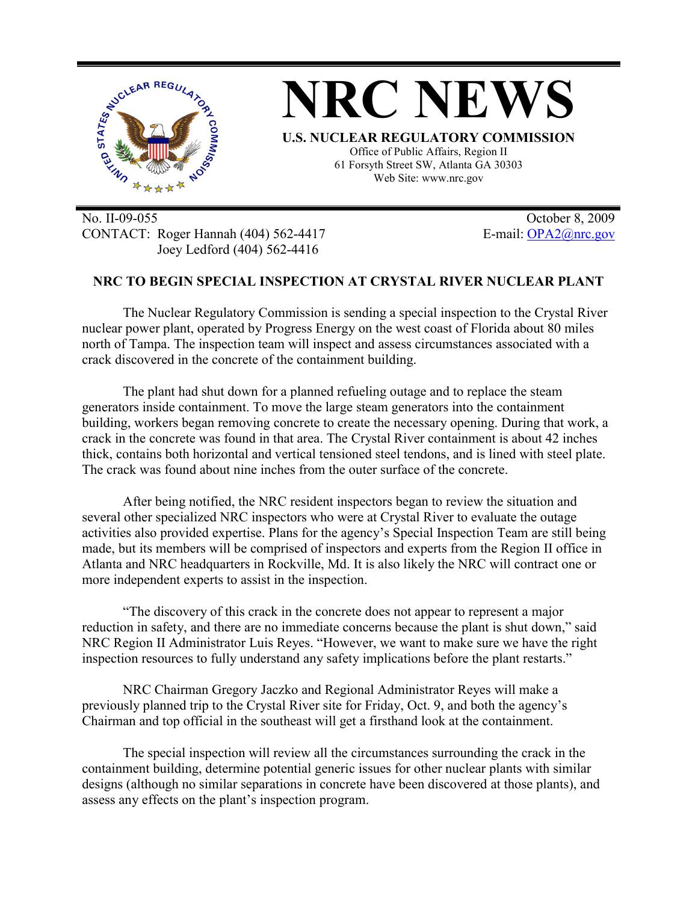

No. II-09-055 October 8, 2009 CONTACT: Roger Hannah (404) 562-4417 E-mail: OPA2@nrc.gov Joey Ledford (404) 562-4416

## **NRC TO BEGIN SPECIAL INSPECTION AT CRYSTAL RIVER NUCLEAR PLANT**

The Nuclear Regulatory Commission is sending a special inspection to the Crystal River nuclear power plant, operated by Progress Energy on the west coast of Florida about 80 miles north of Tampa. The inspection team will inspect and assess circumstances associated with a crack discovered in the concrete of the containment building.

The plant had shut down for a planned refueling outage and to replace the steam generators inside containment. To move the large steam generators into the containment building, workers began removing concrete to create the necessary opening. During that work, a crack in the concrete was found in that area. The Crystal River containment is about 42 inches thick, contains both horizontal and vertical tensioned steel tendons, and is lined with steel plate. The crack was found about nine inches from the outer surface of the concrete.

After being notified, the NRC resident inspectors began to review the situation and several other specialized NRC inspectors who were at Crystal River to evaluate the outage activities also provided expertise. Plans for the agency's Special Inspection Team are still being made, but its members will be comprised of inspectors and experts from the Region II office in Atlanta and NRC headquarters in Rockville, Md. It is also likely the NRC will contract one or more independent experts to assist in the inspection.

"The discovery of this crack in the concrete does not appear to represent a major reduction in safety, and there are no immediate concerns because the plant is shut down," said NRC Region II Administrator Luis Reyes. "However, we want to make sure we have the right inspection resources to fully understand any safety implications before the plant restarts."

NRC Chairman Gregory Jaczko and Regional Administrator Reyes will make a previously planned trip to the Crystal River site for Friday, Oct. 9, and both the agency's Chairman and top official in the southeast will get a firsthand look at the containment.

The special inspection will review all the circumstances surrounding the crack in the containment building, determine potential generic issues for other nuclear plants with similar designs (although no similar separations in concrete have been discovered at those plants), and assess any effects on the plant's inspection program.